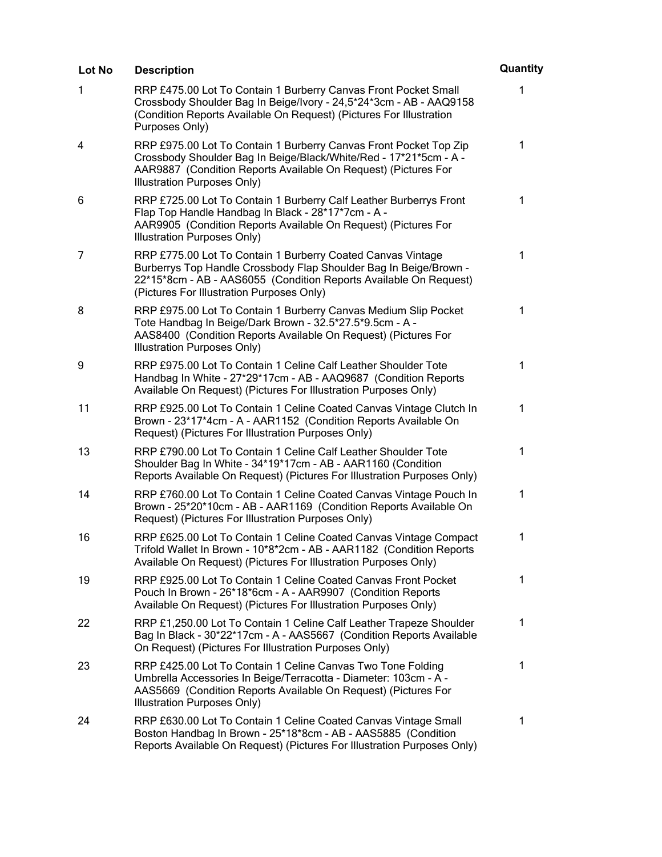| Lot No | <b>Description</b>                                                                                                                                                                                                                                 | Quantity     |
|--------|----------------------------------------------------------------------------------------------------------------------------------------------------------------------------------------------------------------------------------------------------|--------------|
| 1      | RRP £475.00 Lot To Contain 1 Burberry Canvas Front Pocket Small<br>Crossbody Shoulder Bag In Beige/Ivory - 24,5*24*3cm - AB - AAQ9158<br>(Condition Reports Available On Request) (Pictures For Illustration<br>Purposes Only)                     | 1            |
| 4      | RRP £975.00 Lot To Contain 1 Burberry Canvas Front Pocket Top Zip<br>Crossbody Shoulder Bag In Beige/Black/White/Red - 17*21*5cm - A -<br>AAR9887 (Condition Reports Available On Request) (Pictures For<br>Illustration Purposes Only)            | 1            |
| 6      | RRP £725.00 Lot To Contain 1 Burberry Calf Leather Burberrys Front<br>Flap Top Handle Handbag In Black - 28*17*7cm - A -<br>AAR9905 (Condition Reports Available On Request) (Pictures For<br>Illustration Purposes Only)                          | $\mathbf 1$  |
| 7      | RRP £775.00 Lot To Contain 1 Burberry Coated Canvas Vintage<br>Burberrys Top Handle Crossbody Flap Shoulder Bag In Beige/Brown -<br>22*15*8cm - AB - AAS6055 (Condition Reports Available On Request)<br>(Pictures For Illustration Purposes Only) | $\mathbf{1}$ |
| 8      | RRP £975.00 Lot To Contain 1 Burberry Canvas Medium Slip Pocket<br>Tote Handbag In Beige/Dark Brown - 32.5*27.5*9.5cm - A -<br>AAS8400 (Condition Reports Available On Request) (Pictures For<br>Illustration Purposes Only)                       | $\mathbf 1$  |
| 9      | RRP £975.00 Lot To Contain 1 Celine Calf Leather Shoulder Tote<br>Handbag In White - 27*29*17cm - AB - AAQ9687 (Condition Reports<br>Available On Request) (Pictures For Illustration Purposes Only)                                               | $\mathbf 1$  |
| 11     | RRP £925.00 Lot To Contain 1 Celine Coated Canvas Vintage Clutch In<br>Brown - 23*17*4cm - A - AAR1152 (Condition Reports Available On<br>Request) (Pictures For Illustration Purposes Only)                                                       | 1            |
| 13     | RRP £790.00 Lot To Contain 1 Celine Calf Leather Shoulder Tote<br>Shoulder Bag In White - 34*19*17cm - AB - AAR1160 (Condition<br>Reports Available On Request) (Pictures For Illustration Purposes Only)                                          | $\mathbf 1$  |
| 14     | RRP £760.00 Lot To Contain 1 Celine Coated Canvas Vintage Pouch In<br>Brown - 25*20*10cm - AB - AAR1169 (Condition Reports Available On<br>Request) (Pictures For Illustration Purposes Only)                                                      | 1            |
| 16     | RRP £625.00 Lot To Contain 1 Celine Coated Canvas Vintage Compact<br>Trifold Wallet In Brown - 10*8*2cm - AB - AAR1182 (Condition Reports<br>Available On Request) (Pictures For Illustration Purposes Only)                                       | $\mathbf 1$  |
| 19     | RRP £925.00 Lot To Contain 1 Celine Coated Canvas Front Pocket<br>Pouch In Brown - 26*18*6cm - A - AAR9907 (Condition Reports<br>Available On Request) (Pictures For Illustration Purposes Only)                                                   | 1            |
| 22     | RRP £1,250.00 Lot To Contain 1 Celine Calf Leather Trapeze Shoulder<br>Bag In Black - 30*22*17cm - A - AAS5667 (Condition Reports Available<br>On Request) (Pictures For Illustration Purposes Only)                                               | 1            |
| 23     | RRP £425.00 Lot To Contain 1 Celine Canvas Two Tone Folding<br>Umbrella Accessories In Beige/Terracotta - Diameter: 103cm - A -<br>AAS5669 (Condition Reports Available On Request) (Pictures For<br>Illustration Purposes Only)                   | 1            |
| 24     | RRP £630.00 Lot To Contain 1 Celine Coated Canvas Vintage Small<br>Boston Handbag In Brown - 25*18*8cm - AB - AAS5885 (Condition<br>Reports Available On Request) (Pictures For Illustration Purposes Only)                                        | 1            |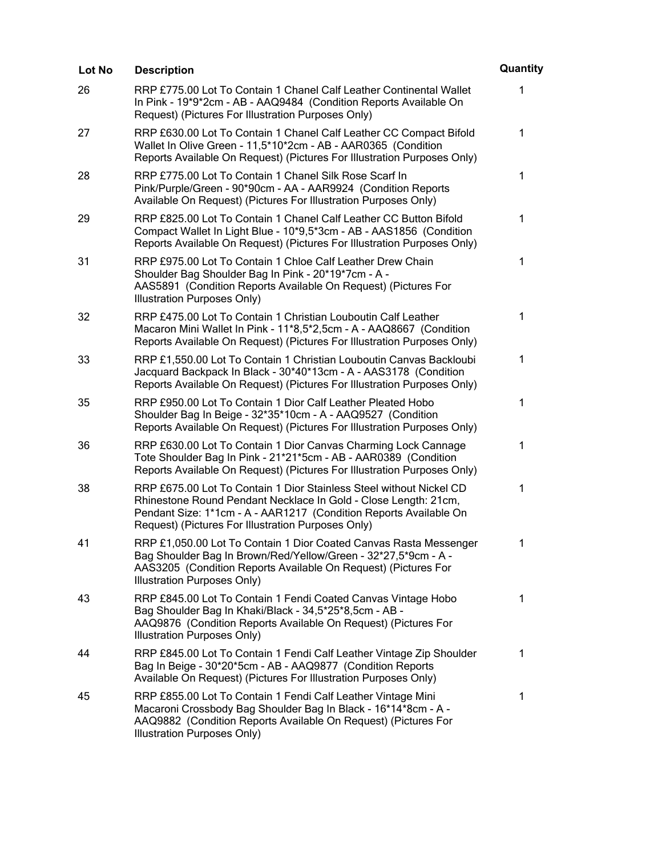| <b>Lot No</b> | <b>Description</b>                                                                                                                                                                                                                                                | Quantity    |
|---------------|-------------------------------------------------------------------------------------------------------------------------------------------------------------------------------------------------------------------------------------------------------------------|-------------|
| 26            | RRP £775.00 Lot To Contain 1 Chanel Calf Leather Continental Wallet<br>In Pink - 19*9*2cm - AB - AAQ9484 (Condition Reports Available On<br>Request) (Pictures For Illustration Purposes Only)                                                                    | 1           |
| 27            | RRP £630.00 Lot To Contain 1 Chanel Calf Leather CC Compact Bifold<br>Wallet In Olive Green - 11,5*10*2cm - AB - AAR0365 (Condition<br>Reports Available On Request) (Pictures For Illustration Purposes Only)                                                    | $\mathbf 1$ |
| 28            | RRP £775.00 Lot To Contain 1 Chanel Silk Rose Scarf In<br>Pink/Purple/Green - 90*90cm - AA - AAR9924 (Condition Reports<br>Available On Request) (Pictures For Illustration Purposes Only)                                                                        | 1           |
| 29            | RRP £825.00 Lot To Contain 1 Chanel Calf Leather CC Button Bifold<br>Compact Wallet In Light Blue - 10*9,5*3cm - AB - AAS1856 (Condition<br>Reports Available On Request) (Pictures For Illustration Purposes Only)                                               | 1           |
| 31            | RRP £975.00 Lot To Contain 1 Chloe Calf Leather Drew Chain<br>Shoulder Bag Shoulder Bag In Pink - 20*19*7cm - A -<br>AAS5891 (Condition Reports Available On Request) (Pictures For<br><b>Illustration Purposes Only)</b>                                         | 1           |
| 32            | RRP £475.00 Lot To Contain 1 Christian Louboutin Calf Leather<br>Macaron Mini Wallet In Pink - 11*8,5*2,5cm - A - AAQ8667 (Condition<br>Reports Available On Request) (Pictures For Illustration Purposes Only)                                                   | 1           |
| 33            | RRP £1,550.00 Lot To Contain 1 Christian Louboutin Canvas Backloubi<br>Jacquard Backpack In Black - 30*40*13cm - A - AAS3178 (Condition<br>Reports Available On Request) (Pictures For Illustration Purposes Only)                                                | 1           |
| 35            | RRP £950.00 Lot To Contain 1 Dior Calf Leather Pleated Hobo<br>Shoulder Bag In Beige - 32*35*10cm - A - AAQ9527 (Condition<br>Reports Available On Request) (Pictures For Illustration Purposes Only)                                                             | 1           |
| 36            | RRP £630.00 Lot To Contain 1 Dior Canvas Charming Lock Cannage<br>Tote Shoulder Bag In Pink - 21*21*5cm - AB - AAR0389 (Condition<br>Reports Available On Request) (Pictures For Illustration Purposes Only)                                                      | 1           |
| 38            | RRP £675.00 Lot To Contain 1 Dior Stainless Steel without Nickel CD<br>Rhinestone Round Pendant Necklace In Gold - Close Length: 21cm,<br>Pendant Size: 1*1cm - A - AAR1217 (Condition Reports Available On<br>Request) (Pictures For Illustration Purposes Only) | $\mathbf 1$ |
| 41            | RRP £1,050.00 Lot To Contain 1 Dior Coated Canvas Rasta Messenger<br>Bag Shoulder Bag In Brown/Red/Yellow/Green - 32*27,5*9cm - A -<br>AAS3205 (Condition Reports Available On Request) (Pictures For<br>Illustration Purposes Only)                              | 1           |
| 43            | RRP £845.00 Lot To Contain 1 Fendi Coated Canvas Vintage Hobo<br>Bag Shoulder Bag In Khaki/Black - 34,5*25*8,5cm - AB -<br>AAQ9876 (Condition Reports Available On Request) (Pictures For<br><b>Illustration Purposes Only)</b>                                   | 1           |
| 44            | RRP £845.00 Lot To Contain 1 Fendi Calf Leather Vintage Zip Shoulder<br>Bag In Beige - 30*20*5cm - AB - AAQ9877 (Condition Reports<br>Available On Request) (Pictures For Illustration Purposes Only)                                                             | $\mathbf 1$ |
| 45            | RRP £855.00 Lot To Contain 1 Fendi Calf Leather Vintage Mini<br>Macaroni Crossbody Bag Shoulder Bag In Black - 16*14*8cm - A -<br>AAQ9882 (Condition Reports Available On Request) (Pictures For<br>Illustration Purposes Only)                                   | 1           |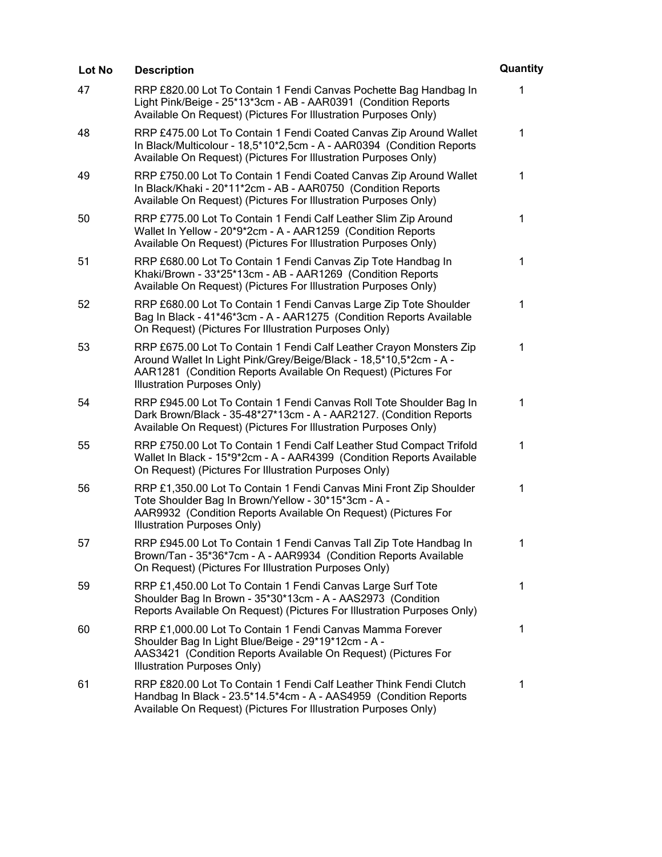| Lot No | <b>Description</b>                                                                                                                                                                                                                         | Quantity     |
|--------|--------------------------------------------------------------------------------------------------------------------------------------------------------------------------------------------------------------------------------------------|--------------|
| 47     | RRP £820.00 Lot To Contain 1 Fendi Canvas Pochette Bag Handbag In<br>Light Pink/Beige - 25*13*3cm - AB - AAR0391 (Condition Reports<br>Available On Request) (Pictures For Illustration Purposes Only)                                     | 1            |
| 48     | RRP £475.00 Lot To Contain 1 Fendi Coated Canvas Zip Around Wallet<br>In Black/Multicolour - 18,5*10*2,5cm - A - AAR0394 (Condition Reports<br>Available On Request) (Pictures For Illustration Purposes Only)                             | 1            |
| 49     | RRP £750.00 Lot To Contain 1 Fendi Coated Canvas Zip Around Wallet<br>In Black/Khaki - 20*11*2cm - AB - AAR0750 (Condition Reports<br>Available On Request) (Pictures For Illustration Purposes Only)                                      | $\mathbf 1$  |
| 50     | RRP £775.00 Lot To Contain 1 Fendi Calf Leather Slim Zip Around<br>Wallet In Yellow - 20*9*2cm - A - AAR1259 (Condition Reports<br>Available On Request) (Pictures For Illustration Purposes Only)                                         | 1            |
| 51     | RRP £680.00 Lot To Contain 1 Fendi Canvas Zip Tote Handbag In<br>Khaki/Brown - 33*25*13cm - AB - AAR1269 (Condition Reports<br>Available On Request) (Pictures For Illustration Purposes Only)                                             | 1            |
| 52     | RRP £680.00 Lot To Contain 1 Fendi Canvas Large Zip Tote Shoulder<br>Bag In Black - 41*46*3cm - A - AAR1275 (Condition Reports Available<br>On Request) (Pictures For Illustration Purposes Only)                                          | $\mathbf{1}$ |
| 53     | RRP £675.00 Lot To Contain 1 Fendi Calf Leather Crayon Monsters Zip<br>Around Wallet In Light Pink/Grey/Beige/Black - 18,5*10,5*2cm - A -<br>AAR1281 (Condition Reports Available On Request) (Pictures For<br>Illustration Purposes Only) | 1            |
| 54     | RRP £945.00 Lot To Contain 1 Fendi Canvas Roll Tote Shoulder Bag In<br>Dark Brown/Black - 35-48*27*13cm - A - AAR2127. (Condition Reports<br>Available On Request) (Pictures For Illustration Purposes Only)                               | 1            |
| 55     | RRP £750.00 Lot To Contain 1 Fendi Calf Leather Stud Compact Trifold<br>Wallet In Black - 15*9*2cm - A - AAR4399 (Condition Reports Available<br>On Request) (Pictures For Illustration Purposes Only)                                     | 1            |
| 56     | RRP £1,350.00 Lot To Contain 1 Fendi Canvas Mini Front Zip Shoulder<br>Tote Shoulder Bag In Brown/Yellow - 30*15*3cm - A -<br>AAR9932 (Condition Reports Available On Request) (Pictures For<br>Illustration Purposes Only)                | 1            |
| 57     | RRP £945.00 Lot To Contain 1 Fendi Canvas Tall Zip Tote Handbag In<br>Brown/Tan - 35*36*7cm - A - AAR9934 (Condition Reports Available<br>On Request) (Pictures For Illustration Purposes Only)                                            | $\mathbf 1$  |
| 59     | RRP £1,450.00 Lot To Contain 1 Fendi Canvas Large Surf Tote<br>Shoulder Bag In Brown - 35*30*13cm - A - AAS2973 (Condition<br>Reports Available On Request) (Pictures For Illustration Purposes Only)                                      | $\mathbf 1$  |
| 60     | RRP £1,000.00 Lot To Contain 1 Fendi Canvas Mamma Forever<br>Shoulder Bag In Light Blue/Beige - 29*19*12cm - A -<br>AAS3421 (Condition Reports Available On Request) (Pictures For<br>Illustration Purposes Only)                          | 1            |
| 61     | RRP £820.00 Lot To Contain 1 Fendi Calf Leather Think Fendi Clutch<br>Handbag In Black - 23.5*14.5*4cm - A - AAS4959 (Condition Reports<br>Available On Request) (Pictures For Illustration Purposes Only)                                 | 1            |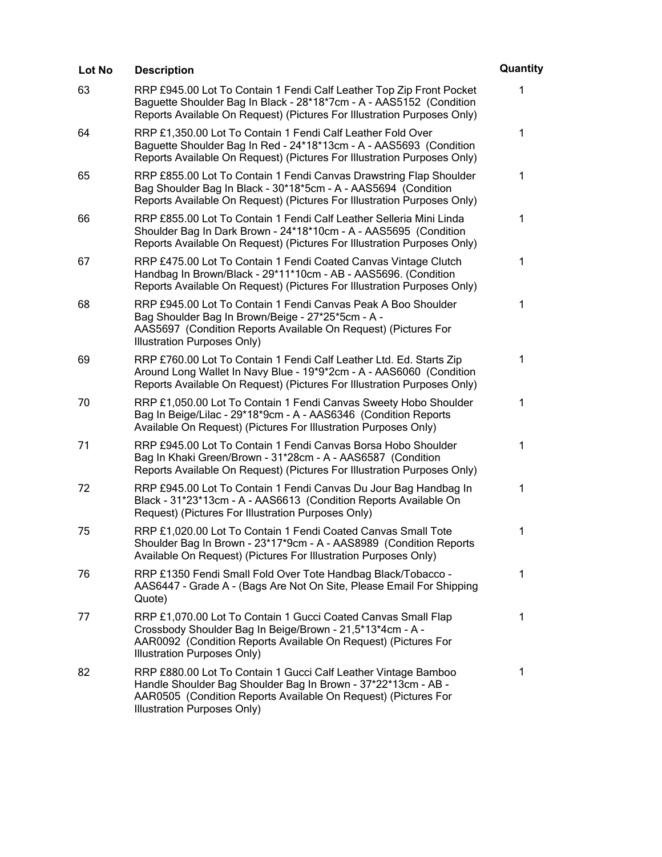| Lot No | <b>Description</b>                                                                                                                                                                                                               | Quantity     |
|--------|----------------------------------------------------------------------------------------------------------------------------------------------------------------------------------------------------------------------------------|--------------|
| 63     | RRP £945.00 Lot To Contain 1 Fendi Calf Leather Top Zip Front Pocket<br>Baguette Shoulder Bag In Black - 28*18*7cm - A - AAS5152 (Condition<br>Reports Available On Request) (Pictures For Illustration Purposes Only)           | $\mathbf{1}$ |
| 64     | RRP £1,350.00 Lot To Contain 1 Fendi Calf Leather Fold Over<br>Baguette Shoulder Bag In Red - 24*18*13cm - A - AAS5693 (Condition<br>Reports Available On Request) (Pictures For Illustration Purposes Only)                     | 1            |
| 65     | RRP £855.00 Lot To Contain 1 Fendi Canvas Drawstring Flap Shoulder<br>Bag Shoulder Bag In Black - 30*18*5cm - A - AAS5694 (Condition<br>Reports Available On Request) (Pictures For Illustration Purposes Only)                  | $\mathbf 1$  |
| 66     | RRP £855.00 Lot To Contain 1 Fendi Calf Leather Selleria Mini Linda<br>Shoulder Bag In Dark Brown - 24*18*10cm - A - AAS5695 (Condition<br>Reports Available On Request) (Pictures For Illustration Purposes Only)               | 1            |
| 67     | RRP £475.00 Lot To Contain 1 Fendi Coated Canvas Vintage Clutch<br>Handbag In Brown/Black - 29*11*10cm - AB - AAS5696. (Condition<br>Reports Available On Request) (Pictures For Illustration Purposes Only)                     | 1            |
| 68     | RRP £945.00 Lot To Contain 1 Fendi Canvas Peak A Boo Shoulder<br>Bag Shoulder Bag In Brown/Beige - 27*25*5cm - A -<br>AAS5697 (Condition Reports Available On Request) (Pictures For<br>Illustration Purposes Only)              | $\mathbf 1$  |
| 69     | RRP £760.00 Lot To Contain 1 Fendi Calf Leather Ltd. Ed. Starts Zip<br>Around Long Wallet In Navy Blue - 19*9*2cm - A - AAS6060 (Condition<br>Reports Available On Request) (Pictures For Illustration Purposes Only)            | $\mathbf{1}$ |
| 70     | RRP £1,050.00 Lot To Contain 1 Fendi Canvas Sweety Hobo Shoulder<br>Bag In Beige/Lilac - 29*18*9cm - A - AAS6346 (Condition Reports<br>Available On Request) (Pictures For Illustration Purposes Only)                           | 1            |
| 71     | RRP £945.00 Lot To Contain 1 Fendi Canvas Borsa Hobo Shoulder<br>Bag In Khaki Green/Brown - 31*28cm - A - AAS6587 (Condition<br>Reports Available On Request) (Pictures For Illustration Purposes Only)                          | 1            |
| 72     | RRP £945.00 Lot To Contain 1 Fendi Canvas Du Jour Bag Handbag In<br>Black - 31*23*13cm - A - AAS6613 (Condition Reports Available On<br>Request) (Pictures For Illustration Purposes Only)                                       | 1            |
| 75     | RRP £1,020.00 Lot To Contain 1 Fendi Coated Canvas Small Tote<br>Shoulder Bag In Brown - 23*17*9cm - A - AAS8989 (Condition Reports<br>Available On Request) (Pictures For Illustration Purposes Only)                           | 1            |
| 76     | RRP £1350 Fendi Small Fold Over Tote Handbag Black/Tobacco -<br>AAS6447 - Grade A - (Bags Are Not On Site, Please Email For Shipping<br>Quote)                                                                                   | 1            |
| 77     | RRP £1,070.00 Lot To Contain 1 Gucci Coated Canvas Small Flap<br>Crossbody Shoulder Bag In Beige/Brown - 21,5*13*4cm - A -<br>AAR0092 (Condition Reports Available On Request) (Pictures For<br>Illustration Purposes Only)      | 1            |
| 82     | RRP £880.00 Lot To Contain 1 Gucci Calf Leather Vintage Bamboo<br>Handle Shoulder Bag Shoulder Bag In Brown - 37*22*13cm - AB -<br>AAR0505 (Condition Reports Available On Request) (Pictures For<br>Illustration Purposes Only) | 1            |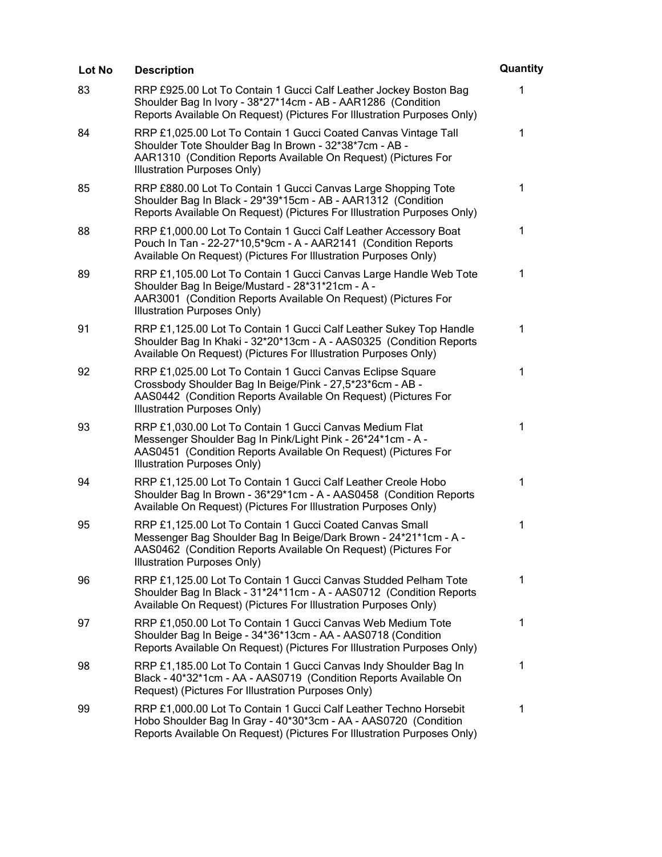| Lot No | <b>Description</b>                                                                                                                                                                                                                | Quantity |
|--------|-----------------------------------------------------------------------------------------------------------------------------------------------------------------------------------------------------------------------------------|----------|
| 83     | RRP £925.00 Lot To Contain 1 Gucci Calf Leather Jockey Boston Bag<br>Shoulder Bag In Ivory - 38*27*14cm - AB - AAR1286 (Condition<br>Reports Available On Request) (Pictures For Illustration Purposes Only)                      | 1        |
| 84     | RRP £1,025.00 Lot To Contain 1 Gucci Coated Canvas Vintage Tall<br>Shoulder Tote Shoulder Bag In Brown - 32*38*7cm - AB -<br>AAR1310 (Condition Reports Available On Request) (Pictures For<br><b>Illustration Purposes Only)</b> | 1        |
| 85     | RRP £880.00 Lot To Contain 1 Gucci Canvas Large Shopping Tote<br>Shoulder Bag In Black - 29*39*15cm - AB - AAR1312 (Condition<br>Reports Available On Request) (Pictures For Illustration Purposes Only)                          | 1        |
| 88     | RRP £1,000.00 Lot To Contain 1 Gucci Calf Leather Accessory Boat<br>Pouch In Tan - 22-27*10,5*9cm - A - AAR2141 (Condition Reports<br>Available On Request) (Pictures For Illustration Purposes Only)                             | 1        |
| 89     | RRP £1,105.00 Lot To Contain 1 Gucci Canvas Large Handle Web Tote<br>Shoulder Bag In Beige/Mustard - 28*31*21cm - A -<br>AAR3001 (Condition Reports Available On Request) (Pictures For<br>Illustration Purposes Only)            | 1        |
| 91     | RRP £1,125.00 Lot To Contain 1 Gucci Calf Leather Sukey Top Handle<br>Shoulder Bag In Khaki - 32*20*13cm - A - AAS0325 (Condition Reports<br>Available On Request) (Pictures For Illustration Purposes Only)                      | 1        |
| 92     | RRP £1,025.00 Lot To Contain 1 Gucci Canvas Eclipse Square<br>Crossbody Shoulder Bag In Beige/Pink - 27,5*23*6cm - AB -<br>AAS0442 (Condition Reports Available On Request) (Pictures For<br>Illustration Purposes Only)          | 1        |
| 93     | RRP £1,030.00 Lot To Contain 1 Gucci Canvas Medium Flat<br>Messenger Shoulder Bag In Pink/Light Pink - 26*24*1cm - A -<br>AAS0451 (Condition Reports Available On Request) (Pictures For<br>Illustration Purposes Only)           | 1        |
| 94     | RRP £1,125.00 Lot To Contain 1 Gucci Calf Leather Creole Hobo<br>Shoulder Bag In Brown - 36*29*1cm - A - AAS0458 (Condition Reports<br>Available On Request) (Pictures For Illustration Purposes Only)                            | 1        |
| 95     | RRP £1,125.00 Lot To Contain 1 Gucci Coated Canvas Small<br>Messenger Bag Shoulder Bag In Beige/Dark Brown - 24*21*1cm - A -<br>AAS0462 (Condition Reports Available On Request) (Pictures For<br>Illustration Purposes Only)     | 1        |
| 96     | RRP £1,125.00 Lot To Contain 1 Gucci Canvas Studded Pelham Tote<br>Shoulder Bag In Black - 31*24*11cm - A - AAS0712 (Condition Reports<br>Available On Request) (Pictures For Illustration Purposes Only)                         | 1        |
| 97     | RRP £1,050.00 Lot To Contain 1 Gucci Canvas Web Medium Tote<br>Shoulder Bag In Beige - 34*36*13cm - AA - AAS0718 (Condition<br>Reports Available On Request) (Pictures For Illustration Purposes Only)                            | 1        |
| 98     | RRP £1,185.00 Lot To Contain 1 Gucci Canvas Indy Shoulder Bag In<br>Black - 40*32*1cm - AA - AAS0719 (Condition Reports Available On<br>Request) (Pictures For Illustration Purposes Only)                                        | 1        |
| 99     | RRP £1,000.00 Lot To Contain 1 Gucci Calf Leather Techno Horsebit<br>Hobo Shoulder Bag In Gray - 40*30*3cm - AA - AAS0720 (Condition<br>Reports Available On Request) (Pictures For Illustration Purposes Only)                   | 1        |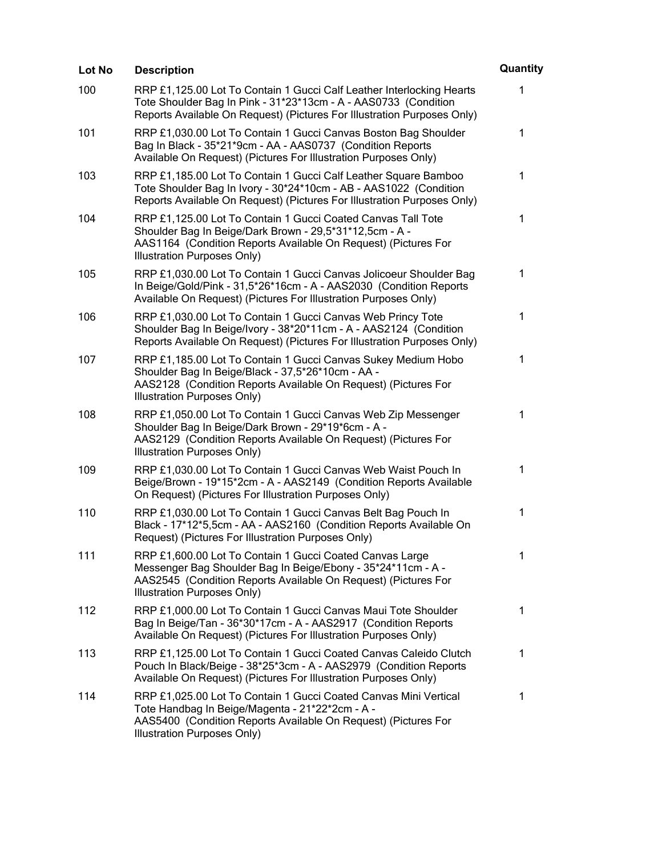| Lot No | <b>Description</b>                                                                                                                                                                                                        | Quantity    |
|--------|---------------------------------------------------------------------------------------------------------------------------------------------------------------------------------------------------------------------------|-------------|
| 100    | RRP £1,125.00 Lot To Contain 1 Gucci Calf Leather Interlocking Hearts<br>Tote Shoulder Bag In Pink - 31*23*13cm - A - AAS0733 (Condition<br>Reports Available On Request) (Pictures For Illustration Purposes Only)       | 1           |
| 101    | RRP £1,030.00 Lot To Contain 1 Gucci Canvas Boston Bag Shoulder<br>Bag In Black - 35*21*9cm - AA - AAS0737 (Condition Reports<br>Available On Request) (Pictures For Illustration Purposes Only)                          | 1           |
| 103    | RRP £1,185.00 Lot To Contain 1 Gucci Calf Leather Square Bamboo<br>Tote Shoulder Bag In Ivory - 30*24*10cm - AB - AAS1022 (Condition<br>Reports Available On Request) (Pictures For Illustration Purposes Only)           | 1           |
| 104    | RRP £1,125.00 Lot To Contain 1 Gucci Coated Canvas Tall Tote<br>Shoulder Bag In Beige/Dark Brown - 29,5*31*12,5cm - A -<br>AAS1164 (Condition Reports Available On Request) (Pictures For<br>Illustration Purposes Only)  | 1           |
| 105    | RRP £1,030.00 Lot To Contain 1 Gucci Canvas Jolicoeur Shoulder Bag<br>In Beige/Gold/Pink - 31,5*26*16cm - A - AAS2030 (Condition Reports<br>Available On Request) (Pictures For Illustration Purposes Only)               | 1           |
| 106    | RRP £1,030.00 Lot To Contain 1 Gucci Canvas Web Princy Tote<br>Shoulder Bag In Beige/Ivory - 38*20*11cm - A - AAS2124 (Condition<br>Reports Available On Request) (Pictures For Illustration Purposes Only)               | $\mathbf 1$ |
| 107    | RRP £1,185.00 Lot To Contain 1 Gucci Canvas Sukey Medium Hobo<br>Shoulder Bag In Beige/Black - 37,5*26*10cm - AA -<br>AAS2128 (Condition Reports Available On Request) (Pictures For<br>Illustration Purposes Only)       | 1           |
| 108    | RRP £1,050.00 Lot To Contain 1 Gucci Canvas Web Zip Messenger<br>Shoulder Bag In Beige/Dark Brown - 29*19*6cm - A -<br>AAS2129 (Condition Reports Available On Request) (Pictures For<br>Illustration Purposes Only)      | $\mathbf 1$ |
| 109    | RRP £1,030.00 Lot To Contain 1 Gucci Canvas Web Waist Pouch In<br>Beige/Brown - 19*15*2cm - A - AAS2149 (Condition Reports Available<br>On Request) (Pictures For Illustration Purposes Only)                             | 1           |
| 110    | RRP £1,030.00 Lot To Contain 1 Gucci Canvas Belt Bag Pouch In<br>Black - 17*12*5,5cm - AA - AAS2160 (Condition Reports Available On<br>Request) (Pictures For Illustration Purposes Only)                                 | 1           |
| 111    | RRP £1,600.00 Lot To Contain 1 Gucci Coated Canvas Large<br>Messenger Bag Shoulder Bag In Beige/Ebony - 35*24*11cm - A -<br>AAS2545 (Condition Reports Available On Request) (Pictures For<br>Illustration Purposes Only) | 1           |
| 112    | RRP £1,000.00 Lot To Contain 1 Gucci Canvas Maui Tote Shoulder<br>Bag In Beige/Tan - 36*30*17cm - A - AAS2917 (Condition Reports<br>Available On Request) (Pictures For Illustration Purposes Only)                       | 1           |
| 113    | RRP £1,125.00 Lot To Contain 1 Gucci Coated Canvas Caleido Clutch<br>Pouch In Black/Beige - 38*25*3cm - A - AAS2979 (Condition Reports<br>Available On Request) (Pictures For Illustration Purposes Only)                 | 1           |
| 114    | RRP £1,025.00 Lot To Contain 1 Gucci Coated Canvas Mini Vertical<br>Tote Handbag In Beige/Magenta - 21*22*2cm - A -<br>AAS5400 (Condition Reports Available On Request) (Pictures For<br>Illustration Purposes Only)      | 1           |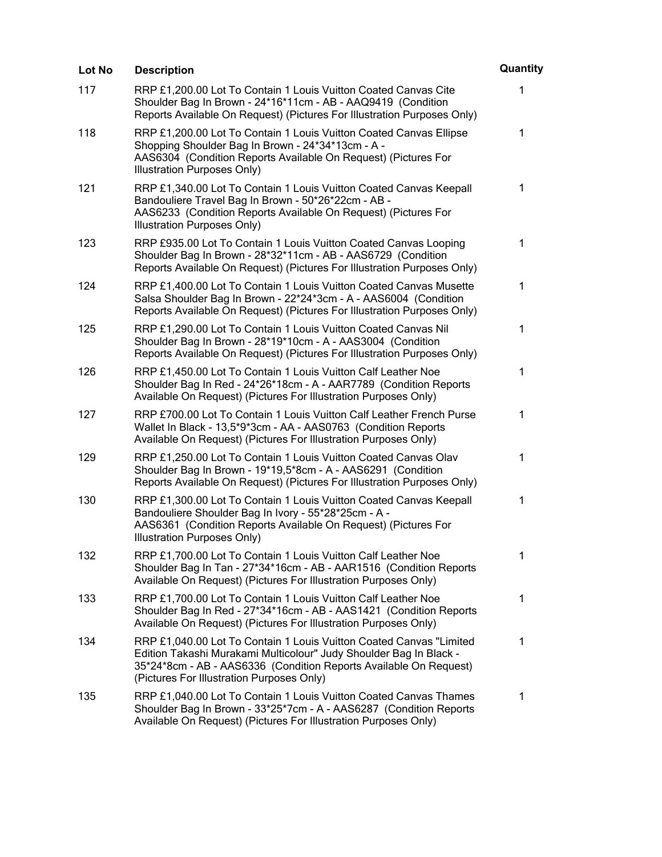| Lot No | <b>Description</b>                                                                                                                                                                                                                                          | Quantity     |
|--------|-------------------------------------------------------------------------------------------------------------------------------------------------------------------------------------------------------------------------------------------------------------|--------------|
| 117    | RRP £1,200.00 Lot To Contain 1 Louis Vuitton Coated Canvas Cite<br>Shoulder Bag In Brown - 24*16*11cm - AB - AAQ9419 (Condition<br>Reports Available On Request) (Pictures For Illustration Purposes Only)                                                  | $\mathbf{1}$ |
| 118    | RRP £1,200.00 Lot To Contain 1 Louis Vuitton Coated Canvas Ellipse<br>Shopping Shoulder Bag In Brown - 24*34*13cm - A -<br>AAS6304 (Condition Reports Available On Request) (Pictures For<br>Illustration Purposes Only)                                    | $\mathbf 1$  |
| 121    | RRP £1,340.00 Lot To Contain 1 Louis Vuitton Coated Canvas Keepall<br>Bandouliere Travel Bag In Brown - 50*26*22cm - AB -<br>AAS6233 (Condition Reports Available On Request) (Pictures For<br>Illustration Purposes Only)                                  | $\mathbf{1}$ |
| 123    | RRP £935.00 Lot To Contain 1 Louis Vuitton Coated Canvas Looping<br>Shoulder Bag In Brown - 28*32*11cm - AB - AAS6729 (Condition<br>Reports Available On Request) (Pictures For Illustration Purposes Only)                                                 | 1            |
| 124    | RRP £1,400.00 Lot To Contain 1 Louis Vuitton Coated Canvas Musette<br>Salsa Shoulder Bag In Brown - 22*24*3cm - A - AAS6004 (Condition<br>Reports Available On Request) (Pictures For Illustration Purposes Only)                                           | 1            |
| 125    | RRP £1,290.00 Lot To Contain 1 Louis Vuitton Coated Canvas Nil<br>Shoulder Bag In Brown - 28*19*10cm - A - AAS3004 (Condition<br>Reports Available On Request) (Pictures For Illustration Purposes Only)                                                    | 1            |
| 126    | RRP £1,450.00 Lot To Contain 1 Louis Vuitton Calf Leather Noe<br>Shoulder Bag In Red - 24*26*18cm - A - AAR7789 (Condition Reports<br>Available On Request) (Pictures For Illustration Purposes Only)                                                       | $\mathbf{1}$ |
| 127    | RRP £700.00 Lot To Contain 1 Louis Vuitton Calf Leather French Purse<br>Wallet In Black - 13,5*9*3cm - AA - AAS0763 (Condition Reports<br>Available On Request) (Pictures For Illustration Purposes Only)                                                   | $\mathbf 1$  |
| 129    | RRP £1,250.00 Lot To Contain 1 Louis Vuitton Coated Canvas Olav<br>Shoulder Bag In Brown - 19*19,5*8cm - A - AAS6291 (Condition<br>Reports Available On Request) (Pictures For Illustration Purposes Only)                                                  | 1            |
| 130    | RRP £1,300.00 Lot To Contain 1 Louis Vuitton Coated Canvas Keepall<br>Bandouliere Shoulder Bag In Ivory - 55*28*25cm - A -<br>AAS6361 (Condition Reports Available On Request) (Pictures For<br>Illustration Purposes Only)                                 | 1            |
| 132    | RRP £1,700.00 Lot To Contain 1 Louis Vuitton Calf Leather Noe<br>Shoulder Bag In Tan - 27*34*16cm - AB - AAR1516 (Condition Reports<br>Available On Request) (Pictures For Illustration Purposes Only)                                                      | 1            |
| 133    | RRP £1,700.00 Lot To Contain 1 Louis Vuitton Calf Leather Noe<br>Shoulder Bag In Red - 27*34*16cm - AB - AAS1421 (Condition Reports<br>Available On Request) (Pictures For Illustration Purposes Only)                                                      | 1            |
| 134    | RRP £1,040.00 Lot To Contain 1 Louis Vuitton Coated Canvas "Limited<br>Edition Takashi Murakami Multicolour" Judy Shoulder Bag In Black -<br>35*24*8cm - AB - AAS6336 (Condition Reports Available On Request)<br>(Pictures For Illustration Purposes Only) | $\mathbf 1$  |
| 135    | RRP £1,040.00 Lot To Contain 1 Louis Vuitton Coated Canvas Thames<br>Shoulder Bag In Brown - 33*25*7cm - A - AAS6287 (Condition Reports<br>Available On Request) (Pictures For Illustration Purposes Only)                                                  | 1            |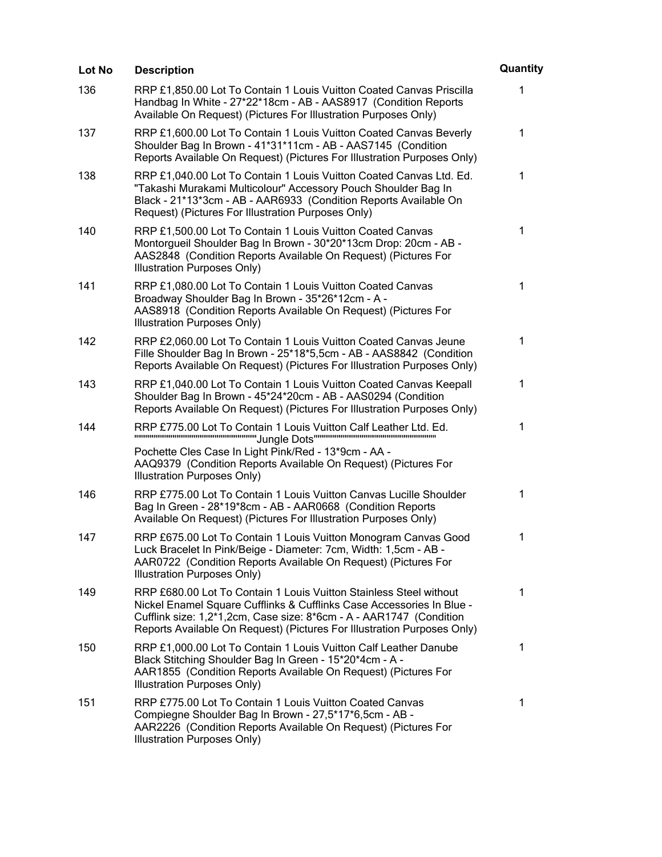| Lot No | <b>Description</b>                                                                                                                                                                                                                                                                            | Quantity |
|--------|-----------------------------------------------------------------------------------------------------------------------------------------------------------------------------------------------------------------------------------------------------------------------------------------------|----------|
| 136    | RRP £1,850.00 Lot To Contain 1 Louis Vuitton Coated Canvas Priscilla<br>Handbag In White - 27*22*18cm - AB - AAS8917 (Condition Reports<br>Available On Request) (Pictures For Illustration Purposes Only)                                                                                    | 1        |
| 137    | RRP £1,600.00 Lot To Contain 1 Louis Vuitton Coated Canvas Beverly<br>Shoulder Bag In Brown - 41*31*11cm - AB - AAS7145 (Condition<br>Reports Available On Request) (Pictures For Illustration Purposes Only)                                                                                 | 1        |
| 138    | RRP £1,040.00 Lot To Contain 1 Louis Vuitton Coated Canvas Ltd. Ed.<br>"Takashi Murakami Multicolour" Accessory Pouch Shoulder Bag In<br>Black - 21*13*3cm - AB - AAR6933 (Condition Reports Available On<br>Request) (Pictures For Illustration Purposes Only)                               | 1        |
| 140    | RRP £1,500.00 Lot To Contain 1 Louis Vuitton Coated Canvas<br>Montorgueil Shoulder Bag In Brown - 30*20*13cm Drop: 20cm - AB -<br>AAS2848 (Condition Reports Available On Request) (Pictures For<br>Illustration Purposes Only)                                                               | 1        |
| 141    | RRP £1,080.00 Lot To Contain 1 Louis Vuitton Coated Canvas<br>Broadway Shoulder Bag In Brown - 35*26*12cm - A -<br>AAS8918 (Condition Reports Available On Request) (Pictures For<br>Illustration Purposes Only)                                                                              | 1        |
| 142    | RRP £2,060.00 Lot To Contain 1 Louis Vuitton Coated Canvas Jeune<br>Fille Shoulder Bag In Brown - 25*18*5,5cm - AB - AAS8842 (Condition<br>Reports Available On Request) (Pictures For Illustration Purposes Only)                                                                            | 1        |
| 143    | RRP £1,040.00 Lot To Contain 1 Louis Vuitton Coated Canvas Keepall<br>Shoulder Bag In Brown - 45*24*20cm - AB - AAS0294 (Condition<br>Reports Available On Request) (Pictures For Illustration Purposes Only)                                                                                 | 1        |
| 144    | RRP £775.00 Lot To Contain 1 Louis Vuitton Calf Leather Ltd. Ed.<br>Pochette Cles Case In Light Pink/Red - 13*9cm - AA -<br>AAQ9379 (Condition Reports Available On Request) (Pictures For<br>Illustration Purposes Only)                                                                     | 1        |
| 146    | RRP £775.00 Lot To Contain 1 Louis Vuitton Canvas Lucille Shoulder<br>Bag In Green - 28*19*8cm - AB - AAR0668 (Condition Reports<br>Available On Request) (Pictures For Illustration Purposes Only)                                                                                           | 1        |
| 147    | RRP £675.00 Lot To Contain 1 Louis Vuitton Monogram Canvas Good<br>Luck Bracelet In Pink/Beige - Diameter: 7cm, Width: 1,5cm - AB -<br>AAR0722 (Condition Reports Available On Request) (Pictures For<br>Illustration Purposes Only)                                                          | 1        |
| 149    | RRP £680.00 Lot To Contain 1 Louis Vuitton Stainless Steel without<br>Nickel Enamel Square Cufflinks & Cufflinks Case Accessories In Blue -<br>Cufflink size: 1,2*1,2cm, Case size: 8*6cm - A - AAR1747 (Condition<br>Reports Available On Request) (Pictures For Illustration Purposes Only) | 1        |
| 150    | RRP £1,000.00 Lot To Contain 1 Louis Vuitton Calf Leather Danube<br>Black Stitching Shoulder Bag In Green - 15*20*4cm - A -<br>AAR1855 (Condition Reports Available On Request) (Pictures For<br>Illustration Purposes Only)                                                                  | 1        |
| 151    | RRP £775.00 Lot To Contain 1 Louis Vuitton Coated Canvas<br>Compiegne Shoulder Bag In Brown - 27,5*17*6,5cm - AB -<br>AAR2226 (Condition Reports Available On Request) (Pictures For<br>Illustration Purposes Only)                                                                           | 1        |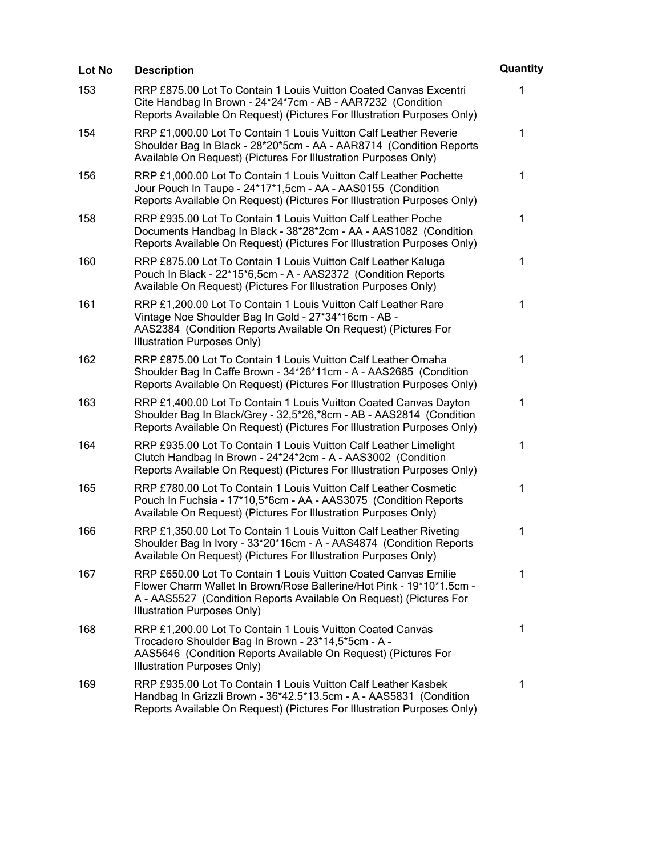| Lot No | <b>Description</b>                                                                                                                                                                                                                           | Quantity     |
|--------|----------------------------------------------------------------------------------------------------------------------------------------------------------------------------------------------------------------------------------------------|--------------|
| 153    | RRP £875.00 Lot To Contain 1 Louis Vuitton Coated Canvas Excentri<br>Cite Handbag In Brown - 24*24*7cm - AB - AAR7232 (Condition<br>Reports Available On Request) (Pictures For Illustration Purposes Only)                                  | 1            |
| 154    | RRP £1,000.00 Lot To Contain 1 Louis Vuitton Calf Leather Reverie<br>Shoulder Bag In Black - 28*20*5cm - AA - AAR8714 (Condition Reports<br>Available On Request) (Pictures For Illustration Purposes Only)                                  | 1            |
| 156    | RRP £1,000.00 Lot To Contain 1 Louis Vuitton Calf Leather Pochette<br>Jour Pouch In Taupe - 24*17*1,5cm - AA - AAS0155 (Condition<br>Reports Available On Request) (Pictures For Illustration Purposes Only)                                 | 1            |
| 158    | RRP £935.00 Lot To Contain 1 Louis Vuitton Calf Leather Poche<br>Documents Handbag In Black - 38*28*2cm - AA - AAS1082 (Condition<br>Reports Available On Request) (Pictures For Illustration Purposes Only)                                 | 1            |
| 160    | RRP £875.00 Lot To Contain 1 Louis Vuitton Calf Leather Kaluga<br>Pouch In Black - 22*15*6,5cm - A - AAS2372 (Condition Reports<br>Available On Request) (Pictures For Illustration Purposes Only)                                           | 1            |
| 161    | RRP £1,200.00 Lot To Contain 1 Louis Vuitton Calf Leather Rare<br>Vintage Noe Shoulder Bag In Gold - 27*34*16cm - AB -<br>AAS2384 (Condition Reports Available On Request) (Pictures For<br>Illustration Purposes Only)                      | $\mathbf 1$  |
| 162    | RRP £875.00 Lot To Contain 1 Louis Vuitton Calf Leather Omaha<br>Shoulder Bag In Caffe Brown - 34*26*11cm - A - AAS2685 (Condition<br>Reports Available On Request) (Pictures For Illustration Purposes Only)                                | $\mathbf{1}$ |
| 163    | RRP £1,400.00 Lot To Contain 1 Louis Vuitton Coated Canvas Dayton<br>Shoulder Bag In Black/Grey - 32,5*26,*8cm - AB - AAS2814 (Condition<br>Reports Available On Request) (Pictures For Illustration Purposes Only)                          | 1            |
| 164    | RRP £935.00 Lot To Contain 1 Louis Vuitton Calf Leather Limelight<br>Clutch Handbag In Brown - 24*24*2cm - A - AAS3002 (Condition<br>Reports Available On Request) (Pictures For Illustration Purposes Only)                                 | 1            |
| 165    | RRP £780.00 Lot To Contain 1 Louis Vuitton Calf Leather Cosmetic<br>Pouch In Fuchsia - 17*10,5*6cm - AA - AAS3075 (Condition Reports<br>Available On Request) (Pictures For Illustration Purposes Only)                                      | 1            |
| 166    | RRP £1,350.00 Lot To Contain 1 Louis Vuitton Calf Leather Riveting<br>Shoulder Bag In Ivory - 33*20*16cm - A - AAS4874 (Condition Reports<br>Available On Request) (Pictures For Illustration Purposes Only)                                 | 1            |
| 167    | RRP £650.00 Lot To Contain 1 Louis Vuitton Coated Canvas Emilie<br>Flower Charm Wallet In Brown/Rose Ballerine/Hot Pink - 19*10*1.5cm -<br>A - AAS5527 (Condition Reports Available On Request) (Pictures For<br>Illustration Purposes Only) | 1            |
| 168    | RRP £1,200.00 Lot To Contain 1 Louis Vuitton Coated Canvas<br>Trocadero Shoulder Bag In Brown - 23*14,5*5cm - A -<br>AAS5646 (Condition Reports Available On Request) (Pictures For<br>Illustration Purposes Only)                           | $\mathbf 1$  |
| 169    | RRP £935.00 Lot To Contain 1 Louis Vuitton Calf Leather Kasbek<br>Handbag In Grizzli Brown - 36*42.5*13.5cm - A - AAS5831 (Condition<br>Reports Available On Request) (Pictures For Illustration Purposes Only)                              | $\mathbf 1$  |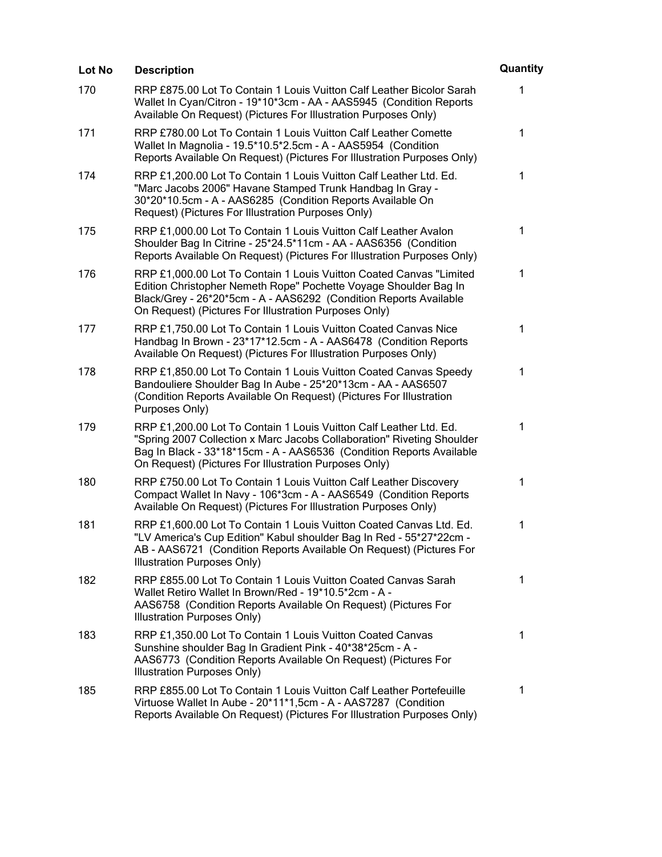| Lot No | <b>Description</b>                                                                                                                                                                                                                                                            | Quantity     |
|--------|-------------------------------------------------------------------------------------------------------------------------------------------------------------------------------------------------------------------------------------------------------------------------------|--------------|
| 170    | RRP £875.00 Lot To Contain 1 Louis Vuitton Calf Leather Bicolor Sarah<br>Wallet In Cyan/Citron - 19*10*3cm - AA - AAS5945 (Condition Reports<br>Available On Request) (Pictures For Illustration Purposes Only)                                                               | $\mathbf{1}$ |
| 171    | RRP £780.00 Lot To Contain 1 Louis Vuitton Calf Leather Comette<br>Wallet In Magnolia - 19.5*10.5*2.5cm - A - AAS5954 (Condition<br>Reports Available On Request) (Pictures For Illustration Purposes Only)                                                                   | 1            |
| 174    | RRP £1,200.00 Lot To Contain 1 Louis Vuitton Calf Leather Ltd. Ed.<br>"Marc Jacobs 2006" Havane Stamped Trunk Handbag In Gray -<br>30*20*10.5cm - A - AAS6285 (Condition Reports Available On<br>Request) (Pictures For Illustration Purposes Only)                           | 1            |
| 175    | RRP £1,000.00 Lot To Contain 1 Louis Vuitton Calf Leather Avalon<br>Shoulder Bag In Citrine - 25*24.5*11cm - AA - AAS6356 (Condition<br>Reports Available On Request) (Pictures For Illustration Purposes Only)                                                               | 1            |
| 176    | RRP £1,000.00 Lot To Contain 1 Louis Vuitton Coated Canvas "Limited<br>Edition Christopher Nemeth Rope" Pochette Voyage Shoulder Bag In<br>Black/Grey - 26*20*5cm - A - AAS6292 (Condition Reports Available<br>On Request) (Pictures For Illustration Purposes Only)         | 1            |
| 177    | RRP £1,750.00 Lot To Contain 1 Louis Vuitton Coated Canvas Nice<br>Handbag In Brown - 23*17*12.5cm - A - AAS6478 (Condition Reports<br>Available On Request) (Pictures For Illustration Purposes Only)                                                                        | 1            |
| 178    | RRP £1,850.00 Lot To Contain 1 Louis Vuitton Coated Canvas Speedy<br>Bandouliere Shoulder Bag In Aube - 25*20*13cm - AA - AAS6507<br>(Condition Reports Available On Request) (Pictures For Illustration<br>Purposes Only)                                                    | 1            |
| 179    | RRP £1,200.00 Lot To Contain 1 Louis Vuitton Calf Leather Ltd. Ed.<br>"Spring 2007 Collection x Marc Jacobs Collaboration" Riveting Shoulder<br>Bag In Black - 33*18*15cm - A - AAS6536 (Condition Reports Available<br>On Request) (Pictures For Illustration Purposes Only) | 1            |
| 180    | RRP £750.00 Lot To Contain 1 Louis Vuitton Calf Leather Discovery<br>Compact Wallet In Navy - 106*3cm - A - AAS6549 (Condition Reports<br>Available On Request) (Pictures For Illustration Purposes Only)                                                                     | 1            |
| 181    | RRP £1,600.00 Lot To Contain 1 Louis Vuitton Coated Canvas Ltd. Ed.<br>"LV America's Cup Edition" Kabul shoulder Bag In Red - 55*27*22cm -<br>AB - AAS6721 (Condition Reports Available On Request) (Pictures For<br>Illustration Purposes Only)                              | 1            |
| 182    | RRP £855.00 Lot To Contain 1 Louis Vuitton Coated Canvas Sarah<br>Wallet Retiro Wallet In Brown/Red - 19*10.5*2cm - A -<br>AAS6758 (Condition Reports Available On Request) (Pictures For<br>Illustration Purposes Only)                                                      | 1            |
| 183    | RRP £1,350.00 Lot To Contain 1 Louis Vuitton Coated Canvas<br>Sunshine shoulder Bag In Gradient Pink - 40*38*25cm - A -<br>AAS6773 (Condition Reports Available On Request) (Pictures For<br>Illustration Purposes Only)                                                      | $\mathbf 1$  |
| 185    | RRP £855.00 Lot To Contain 1 Louis Vuitton Calf Leather Portefeuille<br>Virtuose Wallet In Aube - 20*11*1,5cm - A - AAS7287 (Condition<br>Reports Available On Request) (Pictures For Illustration Purposes Only)                                                             | 1            |